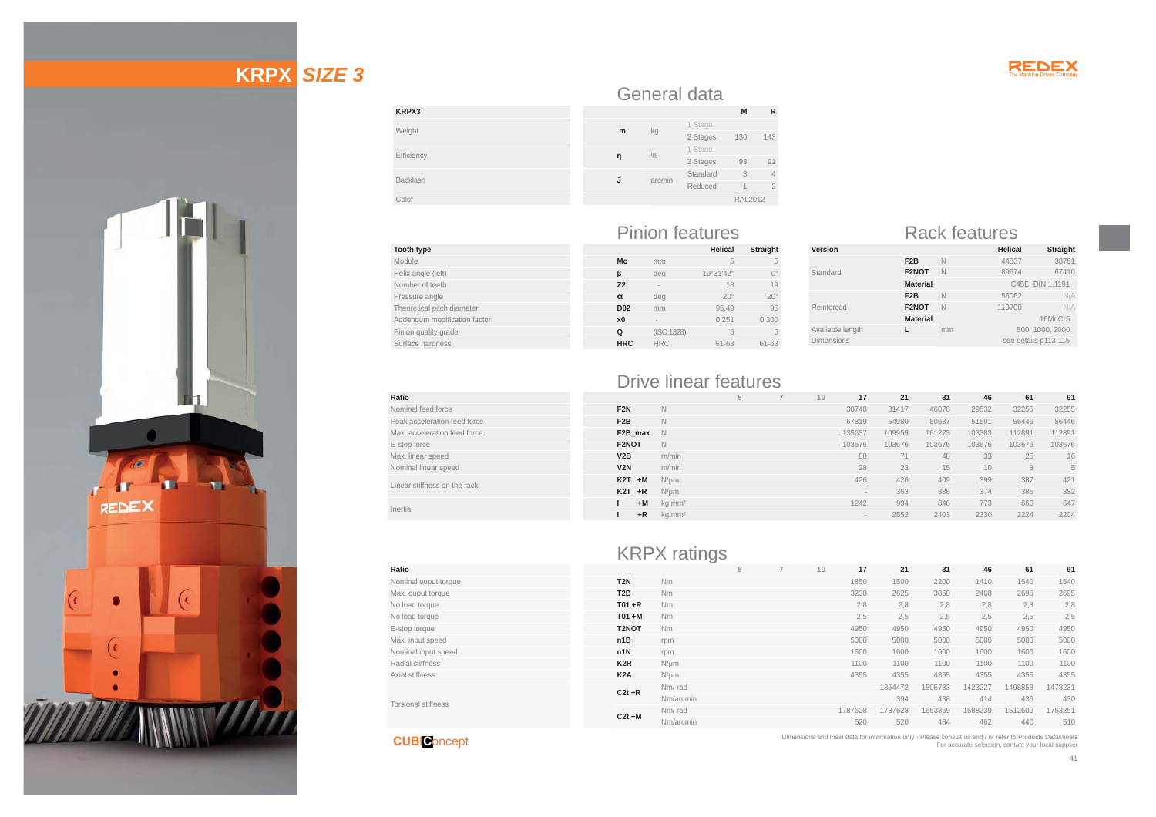

# **KRPX** *SIZE 3*



#### **KRPX3**Weight Efficiency BacklashColor General data  **mn** % 1 Stage<br>2 Stages 93 91 **J**

#### **Tooth type** Module Helix angle (left) Number of teeth Pressure angle Theoretical pitch diameter Addendum modification factor Pinion quality grade Surface hardness

**Ratio**

**Ratio**

Nominal ouput torque Max. ouput torque No load torque No load torque E-stop torque Max. input speed Nominal input speed Radial stiffness Axial stiffness

#### Pinion features Rack features **Helical Straight**

arcmin

kg 1 Stage 130 143

Standard 3 4 Reduced 1 2 RAL2012

|                |            | ,,,,,,,,,    | ວດແງກເ           |
|----------------|------------|--------------|------------------|
| Mo             | mm         | 5            | 5                |
| ß              | deg        | 19°31'42"    | $\Omega^{\circ}$ |
| Z <sub>2</sub> |            | 18           | 19               |
| $\alpha$       | deg        | $20^{\circ}$ | $20^\circ$       |
| <b>D02</b>     | mm         | 95.49        | 95               |
| x <sub>0</sub> | -          | 0.251        | 0,300            |
| Q              | (ISO 1328) | 6            | 6                |
| <b>HRC</b>     | <b>HRC</b> | $61 - 63$    | 61-63            |
|                |            |              |                  |

| Version           |                  |                      | <b>Helical</b>  | <b>Straight</b> |  |  |  |
|-------------------|------------------|----------------------|-----------------|-----------------|--|--|--|
|                   | F <sub>2</sub> B | N                    | 44837           | 38761           |  |  |  |
| Standard          | F2NOT            | N                    | 89674           | 67410           |  |  |  |
|                   | <b>Material</b>  |                      | C45E DIN 1.1191 |                 |  |  |  |
|                   | F <sub>2</sub> B | N                    | 55062           | N/A             |  |  |  |
| Reinforced        | F2NOT            | N                    | 119700          | N/A             |  |  |  |
|                   | <b>Material</b>  |                      | 16MnCr5         |                 |  |  |  |
| Available length  |                  | mm                   | 500, 1000, 2000 |                 |  |  |  |
| <b>Dimensions</b> |                  | see details p113-115 |                 |                 |  |  |  |
|                   |                  |                      |                 |                 |  |  |  |

# Drive linear features

| Ratio                        |                  |                    |  | 10 | 17     | 21     | 31     | 46     | 61     | 91     |
|------------------------------|------------------|--------------------|--|----|--------|--------|--------|--------|--------|--------|
| Nominal feed force           | F <sub>2N</sub>  | N                  |  |    | 38748  | 31417  | 46078  | 29532  | 32255  | 32255  |
| Peak acceleration feed force | F <sub>2</sub> B | N                  |  |    | 67819  | 54980  | 80637  | 51691  | 56446  | 56446  |
| Max, acceleration feed force | F2B max $\land$  |                    |  |    | 135637 | 109959 | 161273 | 103383 | 112891 | 112891 |
| E-stop force                 | F2NOT            | N                  |  |    | 103676 | 103676 | 103676 | 103676 | 103676 | 103676 |
| Max. linear speed            | V2B              | m/min              |  |    | 88     |        | 48     | 33     | 25     | 16     |
| Nominal linear speed         | V2N              | m/min              |  |    | 28     | 23     | 15     | 10     | 8      | 5      |
| Linear stiffness on the rack | $K2T + M$        | $N/\mu m$          |  |    | 426    | 426    | 409    | 399    | 387    | 421    |
|                              | $K2T + R$        | $N/\mu m$          |  |    | $\,$   | 363    | 386    | 374    | 385    | 382    |
| Inertia                      | $+M$             | kg.mm <sup>2</sup> |  |    | 1242   | 994    | 846    | 773    | 666    | 647    |
|                              | $+R$             | ka.mm <sup>2</sup> |  |    | $\,$   | 2552   | 2403   | 2330   | 2224   | 2204   |

**M R**

# KRPX ratings

|                  |           | 5 | 10 | 17      | 21      | 31      | 46      | 61      | 91      |
|------------------|-----------|---|----|---------|---------|---------|---------|---------|---------|
| T <sub>2N</sub>  | <b>Nm</b> |   |    | 1850    | 1500    | 2200    | 1410    | 1540    | 1540    |
| T <sub>2</sub> B | Nm        |   |    | 3238    | 2625    | 3850    | 2468    | 2695    | 2695    |
| $T01 + R$        | Nm        |   |    | 2,8     | 2,8     | 2,8     | 2,8     | 2,8     | 2,8     |
| $TO1 + M$        | Nm        |   |    | 2,5     | 2,5     | 2,5     | 2,5     | 2,5     | 2,5     |
| T2NOT            | Nm        |   |    | 4950    | 4950    | 4950    | 4950    | 4950    | 4950    |
| n1B              | rpm       |   |    | 5000    | 5000    | 5000    | 5000    | 5000    | 5000    |
| n1N              | rpm       |   |    | 1600    | 1600    | 1600    | 1600    | 1600    | 1600    |
| K <sub>2</sub> R | $N/\mu m$ |   |    | 1100    | 1100    | 1100    | 1100    | 1100    | 1100    |
| K <sub>2</sub> A | N/um      |   |    | 4355    | 4355    | 4355    | 4355    | 4355    | 4355    |
| $C2t + R$        | Nm/rad    |   |    |         | 1354472 | 1505733 | 1423227 | 1498858 | 1478231 |
|                  | Nm/arcmin |   |    |         | 394     | 438     | 414     | 436     | 430     |
| $C2t + M$        | Nm/rad    |   |    | 1787628 | 1787628 | 1663869 | 1588239 | 1512609 | 1753251 |
|                  | Nm/arcmin |   |    | 520     | 520     | 484     | 462     | 440     | 510     |

Reinforced

Available len Dimensions

**CUBI C**oncept

Torsional stiffness

Dimensions and main data for information only - Please consult us and / or refer to Products Datasheets For accurate selection, contact your local supplier